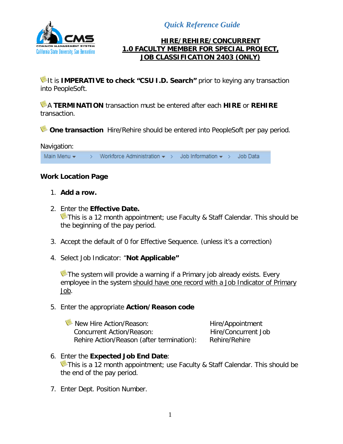*Quick Reference Guide*



### **HIRE/REHIRE/CONCURRENT 1.0 FACULTY MEMBER FOR SPECIAL PROJECT, JOB CLASSIFICATION 2403 (ONLY)**

It is **IMPERATIVE to check "CSU I.D. Search"** prior to keying any transaction into PeopleSoft.

A **TERMINATION** transaction must be entered after each **HIRE** or **REHIRE** transaction.

**One transaction** Hire/Rehire should be entered into PeopleSoft per pay period.



## **Work Location Page**

- 1. **Add a row.**
- 2. Enter the **Effective Date.** This is a 12 month appointment; use Faculty & Staff Calendar. This should be the beginning of the pay period.
- 3. Accept the default of 0 for Effective Sequence. (unless it's a correction)
- 4. Select Job Indicator: "**Not Applicable"**

The system will provide a warning if a Primary job already exists. Every employee in the system should have one record with a Job Indicator of Primary Job.

### 5. Enter the appropriate **Action/Reason code**

New Hire Action/Reason: Hire/Appointment Concurrent Action/Reason: The Hire/Concurrent Job Rehire Action/Reason (after termination): Rehire/Rehire

#### 6. Enter the **Expected Job End Date**: This is a 12 month appointment; use Faculty & Staff Calendar. This should be the end of the pay period.

7. Enter Dept. Position Number.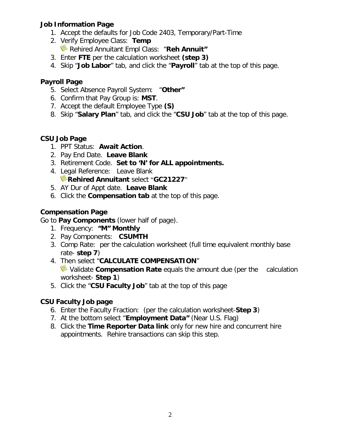## **Job Information Page**

- 1. Accept the defaults for Job Code 2403, Temporary/Part-Time
- 2. Verify Employee Class: **Temp** Rehired Annuitant Empl Class: "**Reh Annuit"**
- 3. Enter **FTE** per the calculation worksheet **(step 3)**
- 4. Skip "**Job Labor**" tab, and click the "**Payroll**" tab at the top of this page.

## **Payroll Page**

- 5. Select Absence Payroll System: "**Other"**
- 6. Confirm that Pay Group is: **MST**.
- 7. Accept the default Employee Type **(S)**
- 8. Skip "**Salary Plan**" tab, and click the "**CSU Job**" tab at the top of this page.

### **CSU Job Page**

- 1. PPT Status: **Await Action**.
- 2. Pay End Date. **Leave Blank**
- 3. Retirement Code. **Set to 'N' for ALL appointments.**
- 4. Legal Reference: Leave Blank **Rehired Annuitant** select "**GC21227**"
- 5. AY Dur of Appt date. **Leave Blank**
- 6. Click the **Compensation tab** at the top of this page.

## **Compensation Page**

## Go to **Pay Components** (lower half of page).

- 1. Frequency: **"M" Monthly**
- 2. Pay Components: **CSUMTH**
- 3. Comp Rate: per the calculation worksheet (full time equivalent monthly base rate- **step 7**)
- 4. Then select "**CALCULATE COMPENSATION**" Validate **Compensation Rate** equals the amount due (per the calculation worksheet- **Step 1**)
- 5. Click the "**CSU Faculty Job**" tab at the top of this page

## **CSU Faculty Job page**

- 6. Enter the Faculty Fraction: (per the calculation worksheet-**Step 3**)
- 7. At the bottom select "**Employment Data"** (Near U.S. Flag)
- 8. Click the **Time Reporter Data link** only for new hire and concurrent hire appointments. Rehire transactions can skip this step.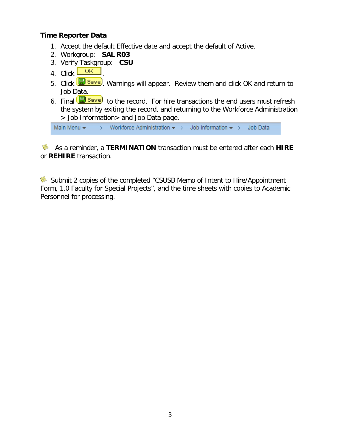### **Time Reporter Data**

- 1. Accept the default Effective date and accept the default of Active.
- 2. Workgroup: **SAL R03**
- 3. Verify Taskgroup: **CSU**
- 4. Click .
- 5. Click **B** save. Warnings will appear. Review them and click OK and return to Job Data.
- 6. Final  $\Box$  Save) to the record. For hire transactions the end users must refresh the system by exiting the record, and returning to the Workforce Administration > Job Information> and Job Data page.

Main Menu  $\star$  > Workforce Administration  $\star$  > Job Information  $\star$  > Job Data

 As a reminder, a **TERMINATION** transaction must be entered after each **HIRE** or **REHIRE** transaction.

Submit 2 copies of the completed "CSUSB Memo of Intent to Hire/Appointment Form, 1.0 Faculty for Special Projects", and the time sheets with copies to Academic Personnel for processing.